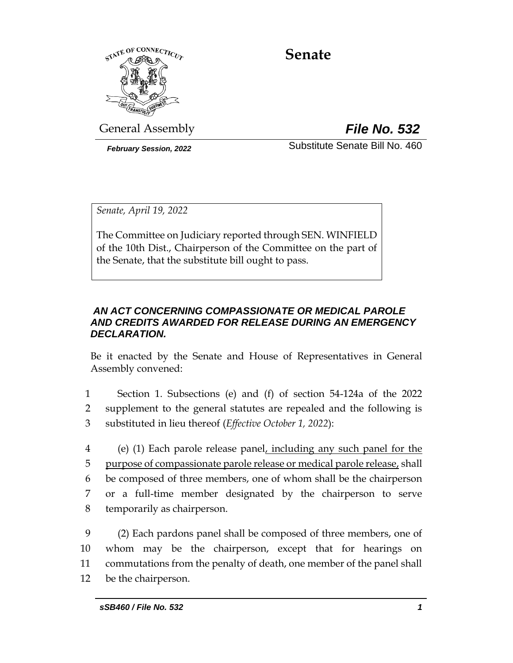

# **Senate**

General Assembly *File No. 532*

*February Session, 2022* Substitute Senate Bill No. 460

*Senate, April 19, 2022*

The Committee on Judiciary reported through SEN. WINFIELD of the 10th Dist., Chairperson of the Committee on the part of the Senate, that the substitute bill ought to pass.

# *AN ACT CONCERNING COMPASSIONATE OR MEDICAL PAROLE AND CREDITS AWARDED FOR RELEASE DURING AN EMERGENCY DECLARATION.*

Be it enacted by the Senate and House of Representatives in General Assembly convened:

- 1 Section 1. Subsections (e) and (f) of section 54-124a of the 2022 2 supplement to the general statutes are repealed and the following is 3 substituted in lieu thereof (*Effective October 1, 2022*):
- 4 (e) (1) Each parole release panel, including any such panel for the 5 purpose of compassionate parole release or medical parole release, shall 6 be composed of three members, one of whom shall be the chairperson 7 or a full-time member designated by the chairperson to serve 8 temporarily as chairperson.
- 9 (2) Each pardons panel shall be composed of three members, one of 10 whom may be the chairperson, except that for hearings on 11 commutations from the penalty of death, one member of the panel shall 12 be the chairperson.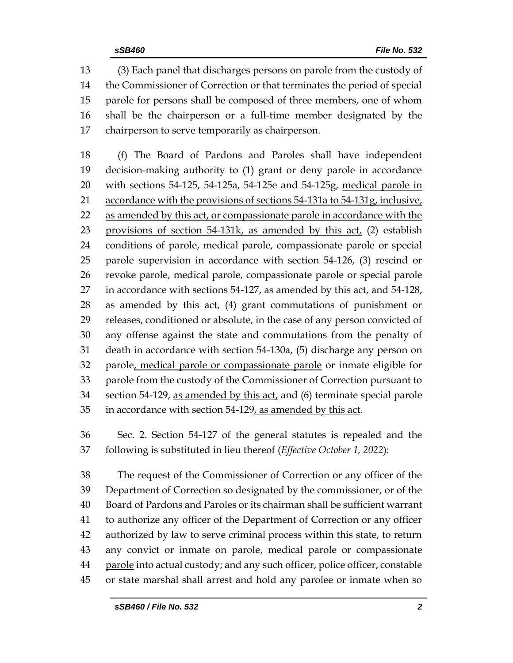(3) Each panel that discharges persons on parole from the custody of the Commissioner of Correction or that terminates the period of special parole for persons shall be composed of three members, one of whom shall be the chairperson or a full-time member designated by the chairperson to serve temporarily as chairperson.

 (f) The Board of Pardons and Paroles shall have independent decision-making authority to (1) grant or deny parole in accordance with sections 54-125, 54-125a, 54-125e and 54-125g, medical parole in 21 accordance with the provisions of sections 54-131a to 54-131g, inclusive, 22 as amended by this act, or compassionate parole in accordance with the provisions of section 54-131k, as amended by this act, (2) establish conditions of parole, medical parole, compassionate parole or special parole supervision in accordance with section 54-126, (3) rescind or 26 revoke parole, medical parole, compassionate parole or special parole in accordance with sections 54-127, as amended by this act, and 54-128, 28 as amended by this act, (4) grant commutations of punishment or releases, conditioned or absolute, in the case of any person convicted of any offense against the state and commutations from the penalty of death in accordance with section 54-130a, (5) discharge any person on 32 parole, medical parole or compassionate parole or inmate eligible for parole from the custody of the Commissioner of Correction pursuant to 34 section 54-129, as amended by this act, and (6) terminate special parole in accordance with section 54-129, as amended by this act.

 Sec. 2. Section 54-127 of the general statutes is repealed and the following is substituted in lieu thereof (*Effective October 1, 2022*):

 The request of the Commissioner of Correction or any officer of the Department of Correction so designated by the commissioner, or of the Board of Pardons and Paroles or its chairman shall be sufficient warrant to authorize any officer of the Department of Correction or any officer authorized by law to serve criminal process within this state, to return 43 any convict or inmate on parole, medical parole or compassionate 44 parole into actual custody; and any such officer, police officer, constable or state marshal shall arrest and hold any parolee or inmate when so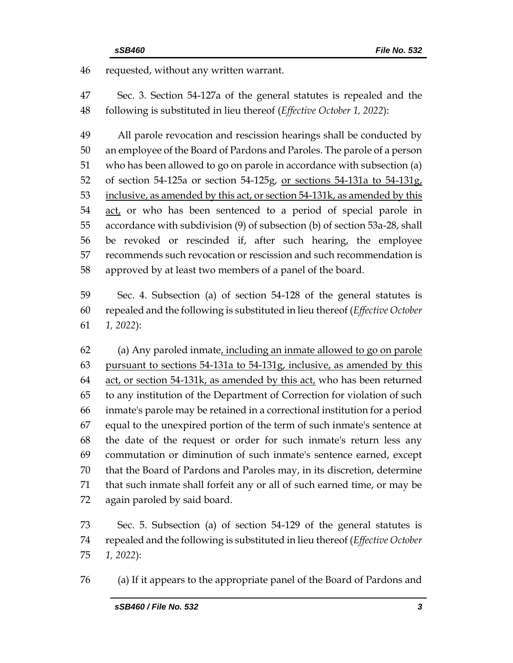requested, without any written warrant.

 Sec. 3. Section 54-127a of the general statutes is repealed and the following is substituted in lieu thereof (*Effective October 1, 2022*):

 All parole revocation and rescission hearings shall be conducted by an employee of the Board of Pardons and Paroles. The parole of a person who has been allowed to go on parole in accordance with subsection (a) of section 54-125a or section 54-125g, or sections 54-131a to 54-131g, inclusive, as amended by this act, or section 54-131k, as amended by this 54 act, or who has been sentenced to a period of special parole in accordance with subdivision (9) of subsection (b) of section 53a-28, shall be revoked or rescinded if, after such hearing, the employee recommends such revocation or rescission and such recommendation is approved by at least two members of a panel of the board.

 Sec. 4. Subsection (a) of section 54-128 of the general statutes is repealed and the following is substituted in lieu thereof (*Effective October 1, 2022*):

 (a) Any paroled inmate, including an inmate allowed to go on parole pursuant to sections 54-131a to 54-131g, inclusive, as amended by this 64 act, or section 54-131k, as amended by this act, who has been returned to any institution of the Department of Correction for violation of such inmate's parole may be retained in a correctional institution for a period equal to the unexpired portion of the term of such inmate's sentence at the date of the request or order for such inmate's return less any commutation or diminution of such inmate's sentence earned, except that the Board of Pardons and Paroles may, in its discretion, determine that such inmate shall forfeit any or all of such earned time, or may be again paroled by said board.

 Sec. 5. Subsection (a) of section 54-129 of the general statutes is repealed and the following is substituted in lieu thereof (*Effective October 1, 2022*):

(a) If it appears to the appropriate panel of the Board of Pardons and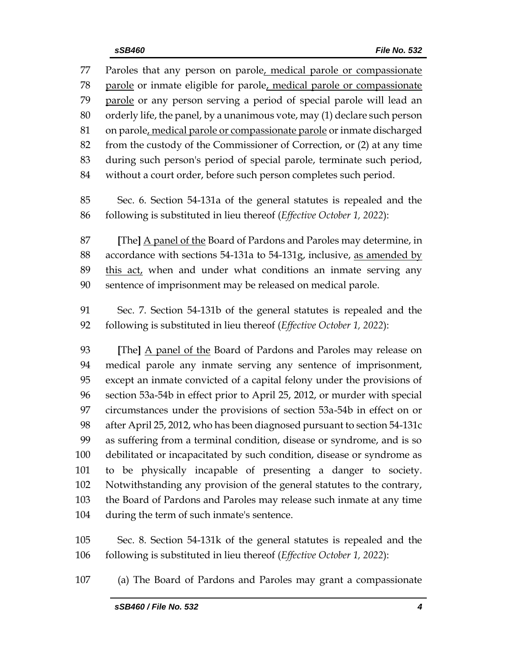Paroles that any person on parole, medical parole or compassionate parole or inmate eligible for parole, medical parole or compassionate 79 parole or any person serving a period of special parole will lead an orderly life, the panel, by a unanimous vote, may (1) declare such person 81 on parole, medical parole or compassionate parole or inmate discharged from the custody of the Commissioner of Correction, or (2) at any time during such person's period of special parole, terminate such period, without a court order, before such person completes such period. Sec. 6. Section 54-131a of the general statutes is repealed and the following is substituted in lieu thereof (*Effective October 1, 2022*): **[**The**]** A panel of the Board of Pardons and Paroles may determine, in accordance with sections 54-131a to 54-131g, inclusive, as amended by 89 this act, when and under what conditions an inmate serving any sentence of imprisonment may be released on medical parole. Sec. 7. Section 54-131b of the general statutes is repealed and the following is substituted in lieu thereof (*Effective October 1, 2022*): **[**The**]** A panel of the Board of Pardons and Paroles may release on medical parole any inmate serving any sentence of imprisonment, except an inmate convicted of a capital felony under the provisions of section 53a-54b in effect prior to April 25, 2012, or murder with special circumstances under the provisions of section 53a-54b in effect on or after April 25, 2012, who has been diagnosed pursuant to section 54-131c as suffering from a terminal condition, disease or syndrome, and is so debilitated or incapacitated by such condition, disease or syndrome as to be physically incapable of presenting a danger to society. Notwithstanding any provision of the general statutes to the contrary, the Board of Pardons and Paroles may release such inmate at any time during the term of such inmate's sentence. Sec. 8. Section 54-131k of the general statutes is repealed and the

following is substituted in lieu thereof (*Effective October 1, 2022*):

(a) The Board of Pardons and Paroles may grant a compassionate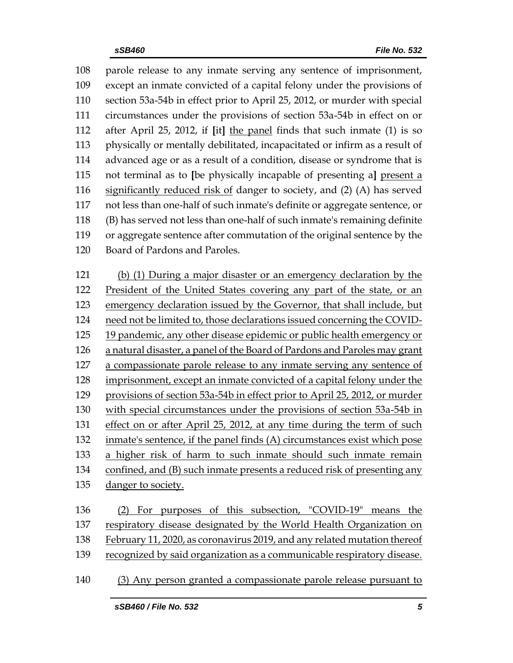parole release to any inmate serving any sentence of imprisonment, except an inmate convicted of a capital felony under the provisions of section 53a-54b in effect prior to April 25, 2012, or murder with special circumstances under the provisions of section 53a-54b in effect on or after April 25, 2012, if **[**it**]** the panel finds that such inmate (1) is so physically or mentally debilitated, incapacitated or infirm as a result of advanced age or as a result of a condition, disease or syndrome that is not terminal as to **[**be physically incapable of presenting a**]** present a significantly reduced risk of danger to society, and (2) (A) has served not less than one-half of such inmate's definite or aggregate sentence, or (B) has served not less than one-half of such inmate's remaining definite or aggregate sentence after commutation of the original sentence by the Board of Pardons and Paroles.

 (b) (1) During a major disaster or an emergency declaration by the President of the United States covering any part of the state, or an 123 emergency declaration issued by the Governor, that shall include, but need not be limited to, those declarations issued concerning the COVID- 19 pandemic, any other disease epidemic or public health emergency or a natural disaster, a panel of the Board of Pardons and Paroles may grant a compassionate parole release to any inmate serving any sentence of imprisonment, except an inmate convicted of a capital felony under the provisions of section 53a-54b in effect prior to April 25, 2012, or murder with special circumstances under the provisions of section 53a-54b in effect on or after April 25, 2012, at any time during the term of such inmate's sentence, if the panel finds (A) circumstances exist which pose a higher risk of harm to such inmate should such inmate remain confined, and (B) such inmate presents a reduced risk of presenting any 135 danger to society. (2) For purposes of this subsection, "COVID-19" means the

 respiratory disease designated by the World Health Organization on February 11, 2020, as coronavirus 2019, and any related mutation thereof recognized by said organization as a communicable respiratory disease.

(3) Any person granted a compassionate parole release pursuant to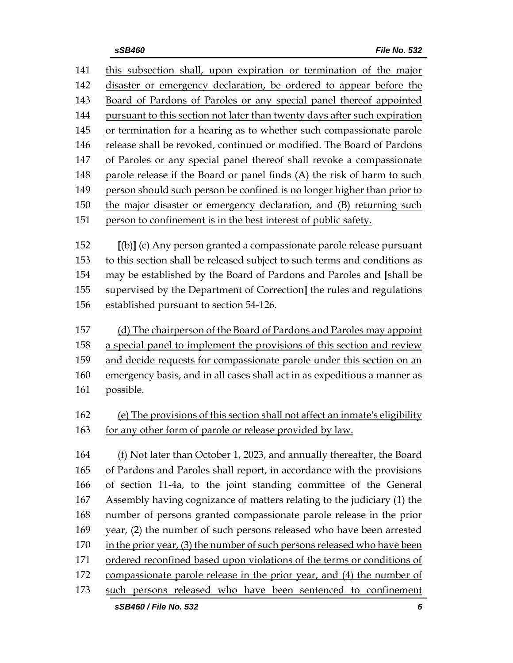| 141 | this subsection shall, upon expiration or termination of the major          |
|-----|-----------------------------------------------------------------------------|
| 142 | disaster or emergency declaration, be ordered to appear before the          |
| 143 | Board of Pardons of Paroles or any special panel thereof appointed          |
| 144 | pursuant to this section not later than twenty days after such expiration   |
| 145 | or termination for a hearing as to whether such compassionate parole        |
| 146 | release shall be revoked, continued or modified. The Board of Pardons       |
| 147 | of Paroles or any special panel thereof shall revoke a compassionate        |
| 148 | parole release if the Board or panel finds (A) the risk of harm to such     |
| 149 | person should such person be confined is no longer higher than prior to     |
| 150 | the major disaster or emergency declaration, and (B) returning such         |
| 151 | person to confinement is in the best interest of public safety.             |
|     |                                                                             |
| 152 | [(b)] (c) Any person granted a compassionate parole release pursuant        |
| 153 | to this section shall be released subject to such terms and conditions as   |
| 154 | may be established by the Board of Pardons and Paroles and [shall be        |
| 155 | supervised by the Department of Correction] the rules and regulations       |
| 156 | established pursuant to section 54-126.                                     |
| 157 | (d) The chairperson of the Board of Pardons and Paroles may appoint         |
| 158 | a special panel to implement the provisions of this section and review      |
| 159 | and decide requests for compassionate parole under this section on an       |
| 160 | emergency basis, and in all cases shall act in as expeditious a manner as   |
| 161 | possible.                                                                   |
|     |                                                                             |
| 162 | (e) The provisions of this section shall not affect an inmate's eligibility |
| 163 | for any other form of parole or release provided by law.                    |
|     |                                                                             |
| 164 | (f) Not later than October 1, 2023, and annually thereafter, the Board      |
| 165 | of Pardons and Paroles shall report, in accordance with the provisions      |
| 166 | of section 11-4a, to the joint standing committee of the General            |
| 167 | Assembly having cognizance of matters relating to the judiciary (1) the     |
| 168 | number of persons granted compassionate parole release in the prior         |
| 169 | year, (2) the number of such persons released who have been arrested        |
| 170 | in the prior year, (3) the number of such persons released who have been    |
| 171 | ordered reconfined based upon violations of the terms or conditions of      |
| 172 | compassionate parole release in the prior year, and (4) the number of       |
| 173 | such persons released who have been sentenced to confinement                |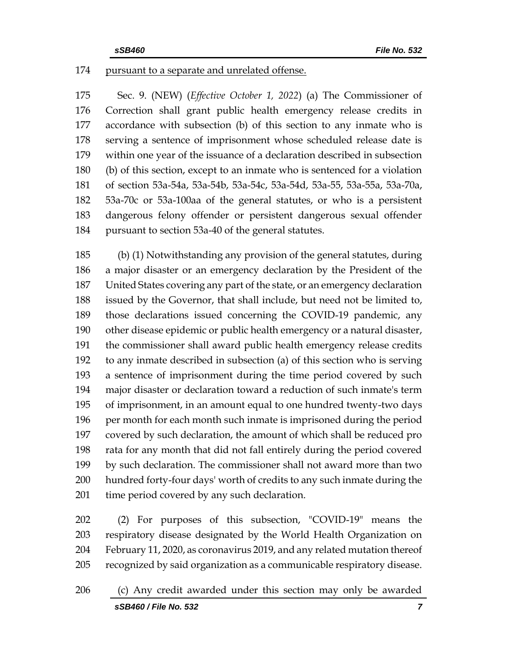# pursuant to a separate and unrelated offense.

 Sec. 9. (NEW) (*Effective October 1, 2022*) (a) The Commissioner of Correction shall grant public health emergency release credits in accordance with subsection (b) of this section to any inmate who is serving a sentence of imprisonment whose scheduled release date is within one year of the issuance of a declaration described in subsection (b) of this section, except to an inmate who is sentenced for a violation of section 53a-54a, 53a-54b, 53a-54c, 53a-54d, 53a-55, 53a-55a, 53a-70a, 53a-70c or 53a-100aa of the general statutes, or who is a persistent dangerous felony offender or persistent dangerous sexual offender pursuant to section 53a-40 of the general statutes.

 (b) (1) Notwithstanding any provision of the general statutes, during a major disaster or an emergency declaration by the President of the United States covering any part of the state, or an emergency declaration issued by the Governor, that shall include, but need not be limited to, those declarations issued concerning the COVID-19 pandemic, any other disease epidemic or public health emergency or a natural disaster, the commissioner shall award public health emergency release credits to any inmate described in subsection (a) of this section who is serving a sentence of imprisonment during the time period covered by such major disaster or declaration toward a reduction of such inmate's term of imprisonment, in an amount equal to one hundred twenty-two days per month for each month such inmate is imprisoned during the period covered by such declaration, the amount of which shall be reduced pro rata for any month that did not fall entirely during the period covered by such declaration. The commissioner shall not award more than two hundred forty-four days' worth of credits to any such inmate during the time period covered by any such declaration.

 (2) For purposes of this subsection, "COVID-19" means the respiratory disease designated by the World Health Organization on February 11, 2020, as coronavirus 2019, and any related mutation thereof recognized by said organization as a communicable respiratory disease.

*sSB460 / File No. 532 7* (c) Any credit awarded under this section may only be awarded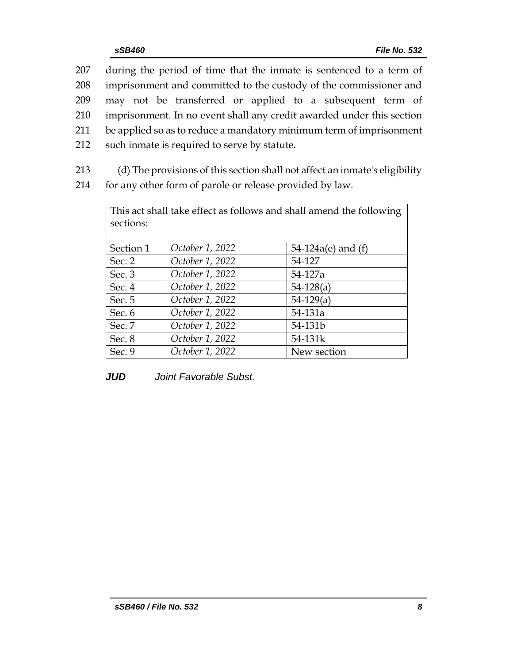|     | 207 during the period of time that the inmate is sentenced to a term of |
|-----|-------------------------------------------------------------------------|
| 208 | imprisonment and committed to the custody of the commissioner and       |
| 209 | may not be transferred or applied to a subsequent term of               |
| 210 | imprisonment. In no event shall any credit awarded under this section   |
| 211 | be applied so as to reduce a mandatory minimum term of imprisonment     |
|     | 212 such inmate is required to serve by statute.                        |
|     |                                                                         |

213 (d) The provisions of this section shall not affect an inmate's eligibility 214 for any other form of parole or release provided by law.

| This act shall take effect as follows and shall amend the following<br>sections: |                 |                      |  |  |  |  |  |
|----------------------------------------------------------------------------------|-----------------|----------------------|--|--|--|--|--|
| Section 1                                                                        | October 1, 2022 | 54-124a(e) and $(f)$ |  |  |  |  |  |
| Sec. 2                                                                           | October 1, 2022 | 54-127               |  |  |  |  |  |
| Sec. 3                                                                           | October 1, 2022 | 54-127a              |  |  |  |  |  |
| Sec. 4                                                                           | October 1, 2022 | $54-128(a)$          |  |  |  |  |  |
| Sec. 5                                                                           | October 1, 2022 | $54-129(a)$          |  |  |  |  |  |
| Sec. 6                                                                           | October 1, 2022 | 54-131a              |  |  |  |  |  |
| Sec. 7                                                                           | October 1, 2022 | 54-131b              |  |  |  |  |  |
| Sec. 8                                                                           | October 1, 2022 | 54-131k              |  |  |  |  |  |
| Sec. 9                                                                           | October 1, 2022 | New section          |  |  |  |  |  |

*JUD Joint Favorable Subst.*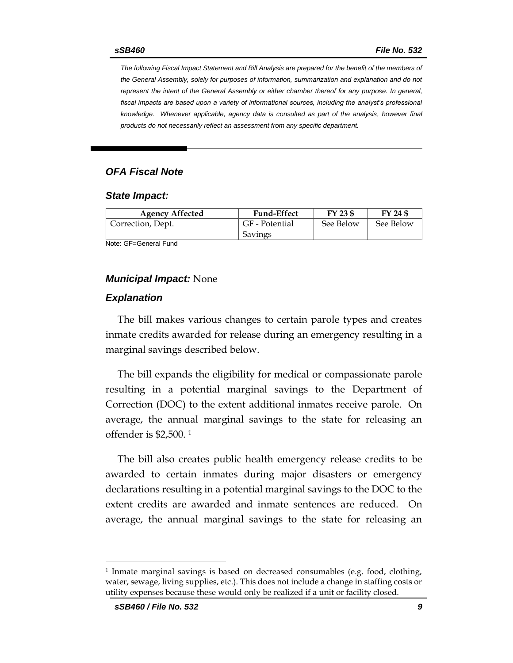*The following Fiscal Impact Statement and Bill Analysis are prepared for the benefit of the members of the General Assembly, solely for purposes of information, summarization and explanation and do not represent the intent of the General Assembly or either chamber thereof for any purpose. In general,*  fiscal impacts are based upon a variety of informational sources, including the analyst's professional *knowledge. Whenever applicable, agency data is consulted as part of the analysis, however final products do not necessarily reflect an assessment from any specific department.*

# *OFA Fiscal Note*

#### *State Impact:*

| <b>Agency Affected</b> | <b>Fund-Effect</b> | FY 23 \$  | FY 24 \$  |
|------------------------|--------------------|-----------|-----------|
| Correction, Dept.      | GF - Potential     | See Below | See Below |
|                        | Savings            |           |           |

Note: GF=General Fund

#### *Municipal Impact:* None

#### *Explanation*

The bill makes various changes to certain parole types and creates inmate credits awarded for release during an emergency resulting in a marginal savings described below.

The bill expands the eligibility for medical or compassionate parole resulting in a potential marginal savings to the Department of Correction (DOC) to the extent additional inmates receive parole. On average, the annual marginal savings to the state for releasing an offender is \$2,500. <sup>1</sup>

The bill also creates public health emergency release credits to be awarded to certain inmates during major disasters or emergency declarations resulting in a potential marginal savings to the DOC to the extent credits are awarded and inmate sentences are reduced. On average, the annual marginal savings to the state for releasing an

<sup>1</sup> Inmate marginal savings is based on decreased consumables (e.g. food, clothing, water, sewage, living supplies, etc.). This does not include a change in staffing costs or utility expenses because these would only be realized if a unit or facility closed.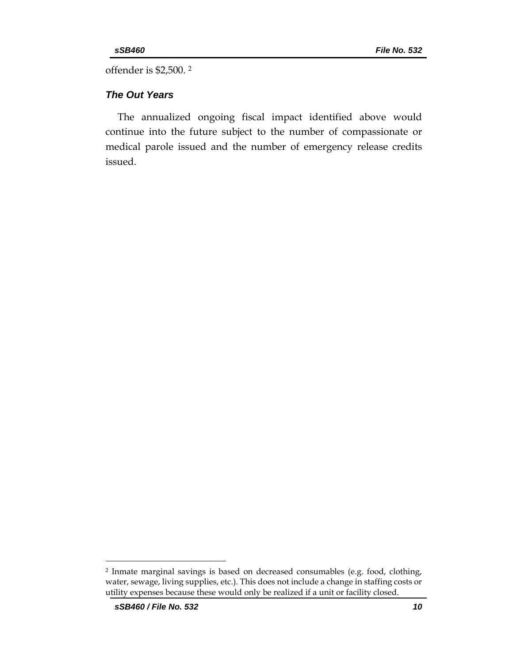offender is \$2,500. <sup>2</sup>

# *The Out Years*

The annualized ongoing fiscal impact identified above would continue into the future subject to the number of compassionate or medical parole issued and the number of emergency release credits issued.

<sup>2</sup> Inmate marginal savings is based on decreased consumables (e.g. food, clothing, water, sewage, living supplies, etc.). This does not include a change in staffing costs or utility expenses because these would only be realized if a unit or facility closed.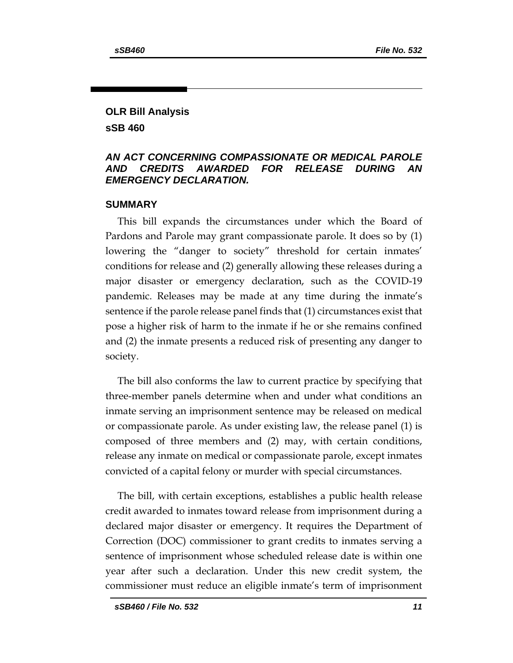# **OLR Bill Analysis sSB 460**

# *AN ACT CONCERNING COMPASSIONATE OR MEDICAL PAROLE AND CREDITS AWARDED FOR RELEASE DURING AN EMERGENCY DECLARATION.*

#### **SUMMARY**

This bill expands the circumstances under which the Board of Pardons and Parole may grant compassionate parole. It does so by (1) lowering the "danger to society" threshold for certain inmates' conditions for release and (2) generally allowing these releases during a major disaster or emergency declaration, such as the COVID-19 pandemic. Releases may be made at any time during the inmate's sentence if the parole release panel finds that (1) circumstances exist that pose a higher risk of harm to the inmate if he or she remains confined and (2) the inmate presents a reduced risk of presenting any danger to society.

The bill also conforms the law to current practice by specifying that three-member panels determine when and under what conditions an inmate serving an imprisonment sentence may be released on medical or compassionate parole. As under existing law, the release panel (1) is composed of three members and (2) may, with certain conditions, release any inmate on medical or compassionate parole, except inmates convicted of a capital felony or murder with special circumstances.

The bill, with certain exceptions, establishes a public health release credit awarded to inmates toward release from imprisonment during a declared major disaster or emergency. It requires the Department of Correction (DOC) commissioner to grant credits to inmates serving a sentence of imprisonment whose scheduled release date is within one year after such a declaration. Under this new credit system, the commissioner must reduce an eligible inmate's term of imprisonment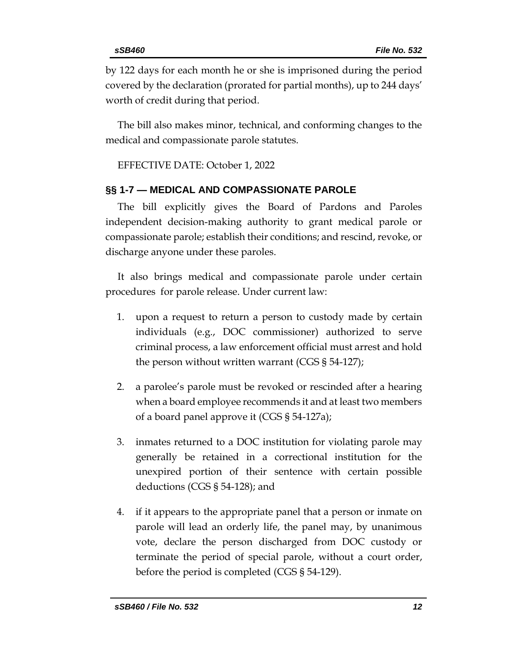by 122 days for each month he or she is imprisoned during the period covered by the declaration (prorated for partial months), up to 244 days' worth of credit during that period.

The bill also makes minor, technical, and conforming changes to the medical and compassionate parole statutes.

EFFECTIVE DATE: October 1, 2022

# **§§ 1-7 — MEDICAL AND COMPASSIONATE PAROLE**

The bill explicitly gives the Board of Pardons and Paroles independent decision-making authority to grant medical parole or compassionate parole; establish their conditions; and rescind, revoke, or discharge anyone under these paroles.

It also brings medical and compassionate parole under certain procedures for parole release. Under current law:

- 1. upon a request to return a person to custody made by certain individuals (e.g., DOC commissioner) authorized to serve criminal process, a law enforcement official must arrest and hold the person without written warrant (CGS § 54-127);
- 2. a parolee's parole must be revoked or rescinded after a hearing when a board employee recommends it and at least two members of a board panel approve it (CGS § 54-127a);
- 3. inmates returned to a DOC institution for violating parole may generally be retained in a correctional institution for the unexpired portion of their sentence with certain possible deductions (CGS § 54-128); and
- 4. if it appears to the appropriate panel that a person or inmate on parole will lead an orderly life, the panel may, by unanimous vote, declare the person discharged from DOC custody or terminate the period of special parole, without a court order, before the period is completed (CGS § 54-129).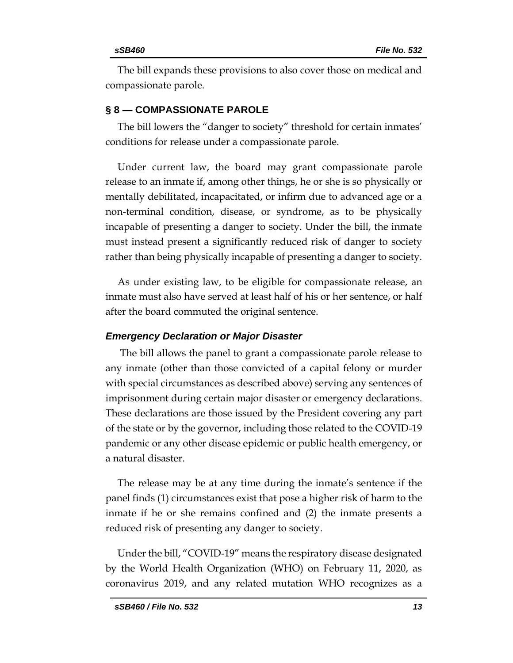The bill expands these provisions to also cover those on medical and compassionate parole.

# **§ 8 — COMPASSIONATE PAROLE**

The bill lowers the "danger to society" threshold for certain inmates' conditions for release under a compassionate parole.

Under current law, the board may grant compassionate parole release to an inmate if, among other things, he or she is so physically or mentally debilitated, incapacitated, or infirm due to advanced age or a non-terminal condition, disease, or syndrome, as to be physically incapable of presenting a danger to society. Under the bill, the inmate must instead present a significantly reduced risk of danger to society rather than being physically incapable of presenting a danger to society.

As under existing law, to be eligible for compassionate release, an inmate must also have served at least half of his or her sentence, or half after the board commuted the original sentence.

## *Emergency Declaration or Major Disaster*

The bill allows the panel to grant a compassionate parole release to any inmate (other than those convicted of a capital felony or murder with special circumstances as described above) serving any sentences of imprisonment during certain major disaster or emergency declarations. These declarations are those issued by the President covering any part of the state or by the governor, including those related to the COVID-19 pandemic or any other disease epidemic or public health emergency, or a natural disaster.

The release may be at any time during the inmate's sentence if the panel finds (1) circumstances exist that pose a higher risk of harm to the inmate if he or she remains confined and (2) the inmate presents a reduced risk of presenting any danger to society.

Under the bill, "COVID-19" means the respiratory disease designated by the World Health Organization (WHO) on February 11, 2020, as coronavirus 2019, and any related mutation WHO recognizes as a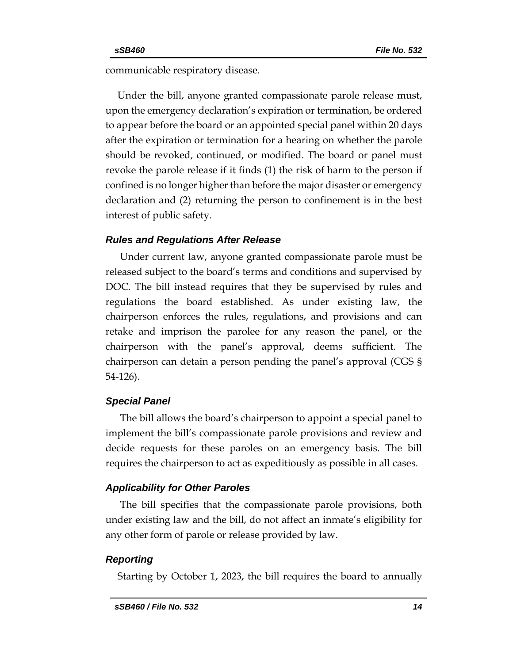communicable respiratory disease.

Under the bill, anyone granted compassionate parole release must, upon the emergency declaration's expiration or termination, be ordered to appear before the board or an appointed special panel within 20 days after the expiration or termination for a hearing on whether the parole should be revoked, continued, or modified. The board or panel must revoke the parole release if it finds (1) the risk of harm to the person if confined is no longer higher than before the major disaster or emergency declaration and (2) returning the person to confinement is in the best interest of public safety.

# *Rules and Regulations After Release*

Under current law, anyone granted compassionate parole must be released subject to the board's terms and conditions and supervised by DOC. The bill instead requires that they be supervised by rules and regulations the board established. As under existing law, the chairperson enforces the rules, regulations, and provisions and can retake and imprison the parolee for any reason the panel, or the chairperson with the panel's approval, deems sufficient. The chairperson can detain a person pending the panel's approval (CGS § 54-126).

## *Special Panel*

The bill allows the board's chairperson to appoint a special panel to implement the bill's compassionate parole provisions and review and decide requests for these paroles on an emergency basis. The bill requires the chairperson to act as expeditiously as possible in all cases.

# *Applicability for Other Paroles*

The bill specifies that the compassionate parole provisions, both under existing law and the bill, do not affect an inmate's eligibility for any other form of parole or release provided by law.

# *Reporting*

Starting by October 1, 2023, the bill requires the board to annually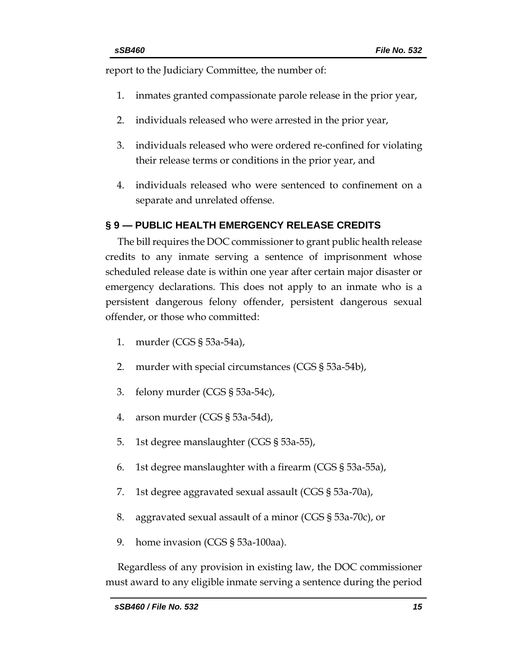report to the Judiciary Committee, the number of:

- 1. inmates granted compassionate parole release in the prior year,
- 2. individuals released who were arrested in the prior year,
- 3. individuals released who were ordered re-confined for violating their release terms or conditions in the prior year, and
- 4. individuals released who were sentenced to confinement on a separate and unrelated offense.

# **§ 9 — PUBLIC HEALTH EMERGENCY RELEASE CREDITS**

The bill requires the DOC commissioner to grant public health release credits to any inmate serving a sentence of imprisonment whose scheduled release date is within one year after certain major disaster or emergency declarations. This does not apply to an inmate who is a persistent dangerous felony offender, persistent dangerous sexual offender, or those who committed:

- 1. murder (CGS § 53a-54a),
- 2. murder with special circumstances (CGS § 53a-54b),
- 3. felony murder (CGS § 53a-54c),
- 4. arson murder (CGS § 53a-54d),
- 5. 1st degree manslaughter (CGS § 53a-55),
- 6. 1st degree manslaughter with a firearm (CGS § 53a-55a),
- 7. 1st degree aggravated sexual assault (CGS § 53a-70a),
- 8. aggravated sexual assault of a minor (CGS § 53a-70c), or
- 9. home invasion (CGS § 53a-100aa).

Regardless of any provision in existing law, the DOC commissioner must award to any eligible inmate serving a sentence during the period